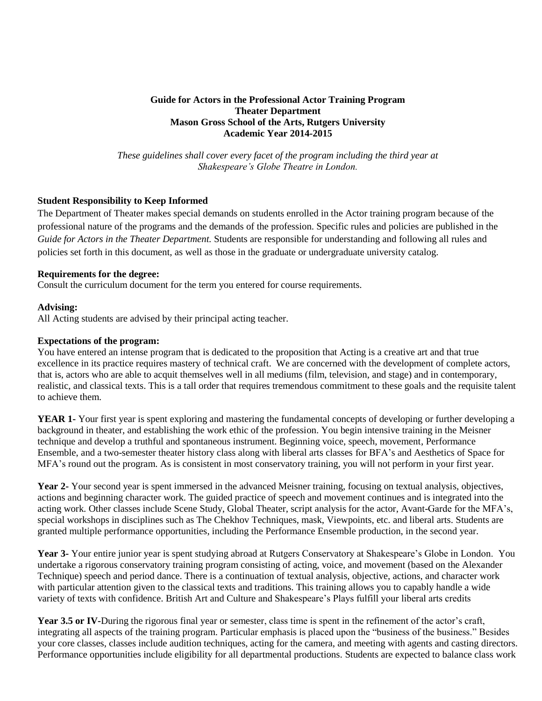#### **Guide for Actors in the Professional Actor Training Program Theater Department Mason Gross School of the Arts, Rutgers University Academic Year 2014-2015**

*These guidelines shall cover every facet of the program including the third year at Shakespeare's Globe Theatre in London.*

#### **Student Responsibility to Keep Informed**

The Department of Theater makes special demands on students enrolled in the Actor training program because of the professional nature of the programs and the demands of the profession. Specific rules and policies are published in the *Guide for Actors in the Theater Department.* Students are responsible for understanding and following all rules and policies set forth in this document, as well as those in the graduate or undergraduate university catalog.

#### **Requirements for the degree:**

Consult the curriculum document for the term you entered for course requirements.

#### **Advising:**

All Acting students are advised by their principal acting teacher.

#### **Expectations of the program:**

You have entered an intense program that is dedicated to the proposition that Acting is a creative art and that true excellence in its practice requires mastery of technical craft. We are concerned with the development of complete actors, that is, actors who are able to acquit themselves well in all mediums (film, television, and stage) and in contemporary, realistic, and classical texts. This is a tall order that requires tremendous commitment to these goals and the requisite talent to achieve them.

**YEAR 1-** Your first year is spent exploring and mastering the fundamental concepts of developing or further developing a background in theater, and establishing the work ethic of the profession. You begin intensive training in the Meisner technique and develop a truthful and spontaneous instrument. Beginning voice, speech, movement, Performance Ensemble, and a two-semester theater history class along with liberal arts classes for BFA's and Aesthetics of Space for MFA's round out the program. As is consistent in most conservatory training, you will not perform in your first year.

**Year 2-** Your second year is spent immersed in the advanced Meisner training, focusing on textual analysis, objectives, actions and beginning character work. The guided practice of speech and movement continues and is integrated into the acting work. Other classes include Scene Study, Global Theater, script analysis for the actor, Avant-Garde for the MFA's, special workshops in disciplines such as The Chekhov Techniques, mask, Viewpoints, etc. and liberal arts. Students are granted multiple performance opportunities, including the Performance Ensemble production, in the second year.

**Year 3-** Your entire junior year is spent studying abroad at Rutgers Conservatory at Shakespeare's Globe in London.You undertake a rigorous conservatory training program consisting of acting, voice, and movement (based on the Alexander Technique) speech and period dance. There is a continuation of textual analysis, objective, actions, and character work with particular attention given to the classical texts and traditions. This training allows you to capably handle a wide variety of texts with confidence. British Art and Culture and Shakespeare's Plays fulfill your liberal arts credits

**Year 3.5 or IV-**During the rigorous final year or semester, class time is spent in the refinement of the actor's craft, integrating all aspects of the training program. Particular emphasis is placed upon the "business of the business." Besides your core classes, classes include audition techniques, acting for the camera, and meeting with agents and casting directors. Performance opportunities include eligibility for all departmental productions. Students are expected to balance class work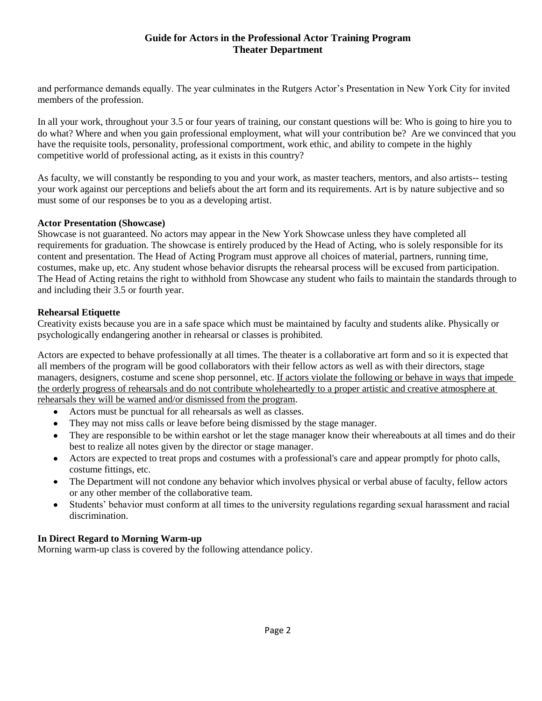and performance demands equally. The year culminates in the Rutgers Actor's Presentation in New York City for invited members of the profession.

In all your work, throughout your 3.5 or four years of training, our constant questions will be: Who is going to hire you to do what? Where and when you gain professional employment, what will your contribution be? Are we convinced that you have the requisite tools, personality, professional comportment, work ethic, and ability to compete in the highly competitive world of professional acting, as it exists in this country?

As faculty, we will constantly be responding to you and your work, as master teachers, mentors, and also artists-- testing your work against our perceptions and beliefs about the art form and its requirements. Art is by nature subjective and so must some of our responses be to you as a developing artist.

#### **Actor Presentation (Showcase)**

Showcase is not guaranteed. No actors may appear in the New York Showcase unless they have completed all requirements for graduation. The showcase is entirely produced by the Head of Acting, who is solely responsible for its content and presentation. The Head of Acting Program must approve all choices of material, partners, running time, costumes, make up, etc. Any student whose behavior disrupts the rehearsal process will be excused from participation. The Head of Acting retains the right to withhold from Showcase any student who fails to maintain the standards through to and including their 3.5 or fourth year.

### **Rehearsal Etiquette**

Creativity exists because you are in a safe space which must be maintained by faculty and students alike. Physically or psychologically endangering another in rehearsal or classes is prohibited.

Actors are expected to behave professionally at all times. The theater is a collaborative art form and so it is expected that all members of the program will be good collaborators with their fellow actors as well as with their directors, stage managers, designers, costume and scene shop personnel, etc. If actors violate the following or behave in ways that impede the orderly progress of rehearsals and do not contribute wholeheartedly to a proper artistic and creative atmosphere at rehearsals they will be warned and/or dismissed from the program.

- Actors must be punctual for all rehearsals as well as classes.  $\bullet$
- They may not miss calls or leave before being dismissed by the stage manager.  $\bullet$
- $\bullet$ They are responsible to be within earshot or let the stage manager know their whereabouts at all times and do their best to realize all notes given by the director or stage manager.
- Actors are expected to treat props and costumes with a professional's care and appear promptly for photo calls,  $\bullet$ costume fittings, etc.
- The Department will not condone any behavior which involves physical or verbal abuse of faculty, fellow actors  $\bullet$ or any other member of the collaborative team.
- Students' behavior must conform at all times to the university regulations regarding sexual harassment and racial  $\bullet$ discrimination.

### **In Direct Regard to Morning Warm-up**

Morning warm-up class is covered by the following attendance policy.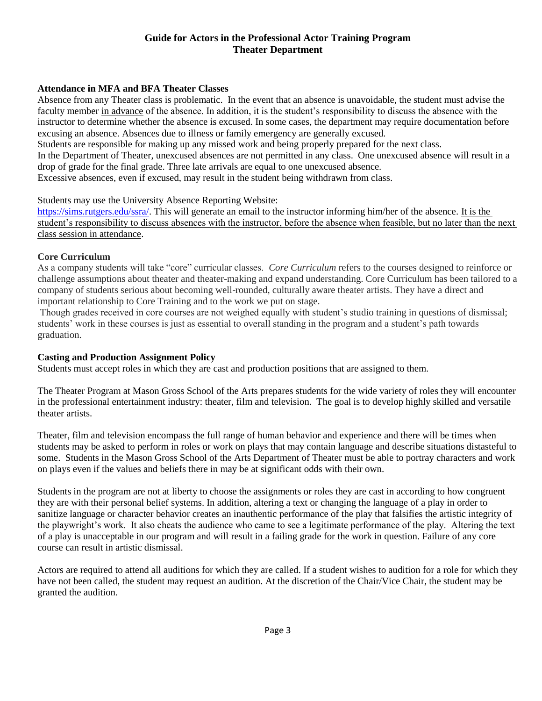## **Attendance in MFA and BFA Theater Classes**

Absence from any Theater class is problematic. In the event that an absence is unavoidable, the student must advise the faculty member in advance of the absence. In addition, it is the student's responsibility to discuss the absence with the instructor to determine whether the absence is excused. In some cases, the department may require documentation before excusing an absence. Absences due to illness or family emergency are generally excused.

Students are responsible for making up any missed work and being properly prepared for the next class.

In the Department of Theater, unexcused absences are not permitted in any class. One unexcused absence will result in a drop of grade for the final grade. Three late arrivals are equal to one unexcused absence.

Excessive absences, even if excused, may result in the student being withdrawn from class.

Students may use the University Absence Reporting Website:

[https://sims.rutgers.edu/ssra/.](https://sims.rutgers.edu/ssra/) This will generate an email to the instructor informing him/her of the absence. It is the student's responsibility to discuss absences with the instructor, before the absence when feasible, but no later than the next class session in attendance.

### **Core Curriculum**

As a company students will take "core" curricular classes. *Core Curriculum* refers to the courses designed to reinforce or challenge assumptions about theater and theater-making and expand understanding. Core Curriculum has been tailored to a company of students serious about becoming well-rounded, culturally aware theater artists. They have a direct and important relationship to Core Training and to the work we put on stage.

Though grades received in core courses are not weighed equally with student's studio training in questions of dismissal; students' work in these courses is just as essential to overall standing in the program and a student's path towards graduation.

## **Casting and Production Assignment Policy**

Students must accept roles in which they are cast and production positions that are assigned to them.

The Theater Program at Mason Gross School of the Arts prepares students for the wide variety of roles they will encounter in the professional entertainment industry: theater, film and television. The goal is to develop highly skilled and versatile theater artists.

Theater, film and television encompass the full range of human behavior and experience and there will be times when students may be asked to perform in roles or work on plays that may contain language and describe situations distasteful to some. Students in the Mason Gross School of the Arts Department of Theater must be able to portray characters and work on plays even if the values and beliefs there in may be at significant odds with their own.

Students in the program are not at liberty to choose the assignments or roles they are cast in according to how congruent they are with their personal belief systems. In addition, altering a text or changing the language of a play in order to sanitize language or character behavior creates an inauthentic performance of the play that falsifies the artistic integrity of the playwright's work. It also cheats the audience who came to see a legitimate performance of the play. Altering the text of a play is unacceptable in our program and will result in a failing grade for the work in question. Failure of any core course can result in artistic dismissal.

Actors are required to attend all auditions for which they are called. If a student wishes to audition for a role for which they have not been called, the student may request an audition. At the discretion of the Chair/Vice Chair, the student may be granted the audition.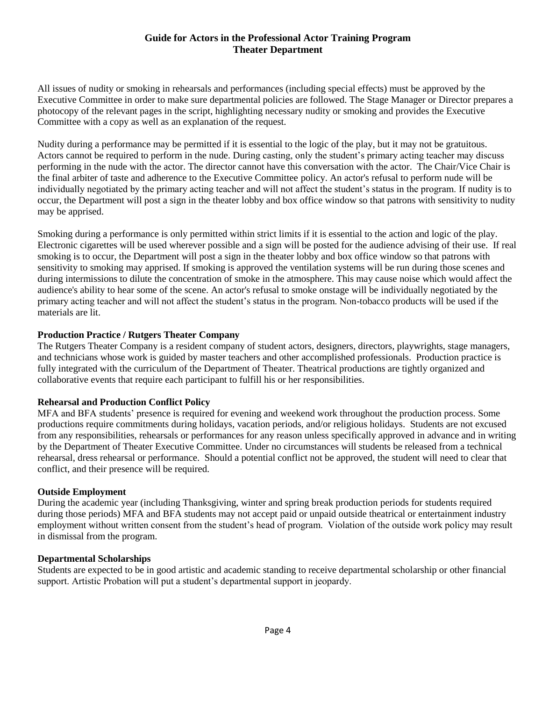All issues of nudity or smoking in rehearsals and performances (including special effects) must be approved by the Executive Committee in order to make sure departmental policies are followed. The Stage Manager or Director prepares a photocopy of the relevant pages in the script, highlighting necessary nudity or smoking and provides the Executive Committee with a copy as well as an explanation of the request.

Nudity during a performance may be permitted if it is essential to the logic of the play, but it may not be gratuitous. Actors cannot be required to perform in the nude. During casting, only the student's primary acting teacher may discuss performing in the nude with the actor. The director cannot have this conversation with the actor. The Chair/Vice Chair is the final arbiter of taste and adherence to the Executive Committee policy. An actor's refusal to perform nude will be individually negotiated by the primary acting teacher and will not affect the student's status in the program. If nudity is to occur, the Department will post a sign in the theater lobby and box office window so that patrons with sensitivity to nudity may be apprised.

Smoking during a performance is only permitted within strict limits if it is essential to the action and logic of the play. Electronic cigarettes will be used wherever possible and a sign will be posted for the audience advising of their use. If real smoking is to occur, the Department will post a sign in the theater lobby and box office window so that patrons with sensitivity to smoking may apprised. If smoking is approved the ventilation systems will be run during those scenes and during intermissions to dilute the concentration of smoke in the atmosphere. This may cause noise which would affect the audience's ability to hear some of the scene. An actor's refusal to smoke onstage will be individually negotiated by the primary acting teacher and will not affect the student's status in the program. Non-tobacco products will be used if the materials are lit.

### **Production Practice / Rutgers Theater Company**

The Rutgers Theater Company is a resident company of student actors, designers, directors, playwrights, stage managers, and technicians whose work is guided by master teachers and other accomplished professionals. Production practice is fully integrated with the curriculum of the Department of Theater. Theatrical productions are tightly organized and collaborative events that require each participant to fulfill his or her responsibilities.

### **Rehearsal and Production Conflict Policy**

MFA and BFA students' presence is required for evening and weekend work throughout the production process. Some productions require commitments during holidays, vacation periods, and/or religious holidays. Students are not excused from any responsibilities, rehearsals or performances for any reason unless specifically approved in advance and in writing by the Department of Theater Executive Committee. Under no circumstances will students be released from a technical rehearsal, dress rehearsal or performance. Should a potential conflict not be approved, the student will need to clear that conflict, and their presence will be required.

#### **Outside Employment**

During the academic year (including Thanksgiving, winter and spring break production periods for students required during those periods) MFA and BFA students may not accept paid or unpaid outside theatrical or entertainment industry employment without written consent from the student's head of program. Violation of the outside work policy may result in dismissal from the program.

#### **Departmental Scholarships**

Students are expected to be in good artistic and academic standing to receive departmental scholarship or other financial support. Artistic Probation will put a student's departmental support in jeopardy.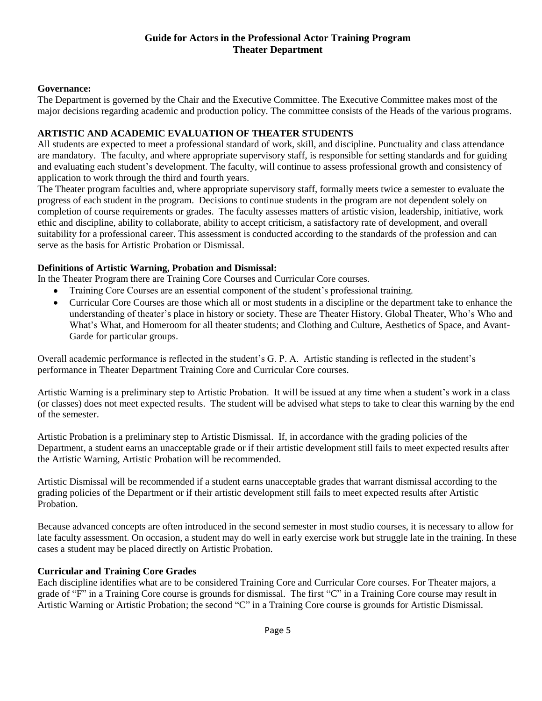### **Governance:**

The Department is governed by the Chair and the Executive Committee. The Executive Committee makes most of the major decisions regarding academic and production policy. The committee consists of the Heads of the various programs.

## **ARTISTIC AND ACADEMIC EVALUATION OF THEATER STUDENTS**

All students are expected to meet a professional standard of work, skill, and discipline. Punctuality and class attendance are mandatory. The faculty, and where appropriate supervisory staff, is responsible for setting standards and for guiding and evaluating each student's development. The faculty, will continue to assess professional growth and consistency of application to work through the third and fourth years.

The Theater program faculties and, where appropriate supervisory staff, formally meets twice a semester to evaluate the progress of each student in the program. Decisions to continue students in the program are not dependent solely on completion of course requirements or grades. The faculty assesses matters of artistic vision, leadership, initiative, work ethic and discipline, ability to collaborate, ability to accept criticism, a satisfactory rate of development, and overall suitability for a professional career. This assessment is conducted according to the standards of the profession and can serve as the basis for Artistic Probation or Dismissal.

## **Definitions of Artistic Warning, Probation and Dismissal:**

In the Theater Program there are Training Core Courses and Curricular Core courses.

- Training Core Courses are an essential component of the student's professional training.
- $\bullet$ Curricular Core Courses are those which all or most students in a discipline or the department take to enhance the understanding of theater's place in history or society. These are Theater History, Global Theater, Who's Who and What's What, and Homeroom for all theater students; and Clothing and Culture, Aesthetics of Space, and Avant-Garde for particular groups.

Overall academic performance is reflected in the student's G. P. A. Artistic standing is reflected in the student's performance in Theater Department Training Core and Curricular Core courses.

Artistic Warning is a preliminary step to Artistic Probation. It will be issued at any time when a student's work in a class (or classes) does not meet expected results. The student will be advised what steps to take to clear this warning by the end of the semester.

Artistic Probation is a preliminary step to Artistic Dismissal. If, in accordance with the grading policies of the Department, a student earns an unacceptable grade or if their artistic development still fails to meet expected results after the Artistic Warning, Artistic Probation will be recommended.

Artistic Dismissal will be recommended if a student earns unacceptable grades that warrant dismissal according to the grading policies of the Department or if their artistic development still fails to meet expected results after Artistic Probation.

Because advanced concepts are often introduced in the second semester in most studio courses, it is necessary to allow for late faculty assessment. On occasion, a student may do well in early exercise work but struggle late in the training. In these cases a student may be placed directly on Artistic Probation.

### **Curricular and Training Core Grades**

Each discipline identifies what are to be considered Training Core and Curricular Core courses. For Theater majors, a grade of "F" in a Training Core course is grounds for dismissal. The first "C" in a Training Core course may result in Artistic Warning or Artistic Probation; the second "C" in a Training Core course is grounds for Artistic Dismissal.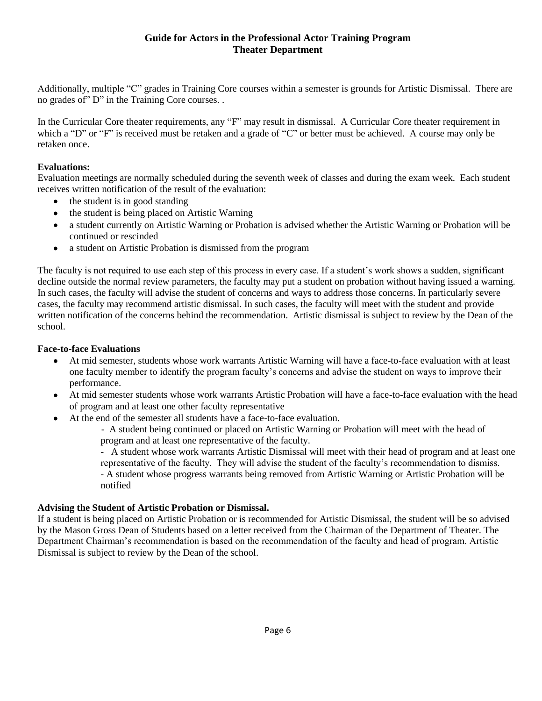Additionally, multiple "C" grades in Training Core courses within a semester is grounds for Artistic Dismissal. There are no grades of" D" in the Training Core courses. .

In the Curricular Core theater requirements, any "F" may result in dismissal. A Curricular Core theater requirement in which a "D" or "F" is received must be retaken and a grade of "C" or better must be achieved. A course may only be retaken once.

#### **Evaluations:**

Evaluation meetings are normally scheduled during the seventh week of classes and during the exam week. Each student receives written notification of the result of the evaluation:

- the student is in good standing  $\bullet$
- the student is being placed on Artistic Warning
- $\bullet$  . a student currently on Artistic Warning or Probation is advised whether the Artistic Warning or Probation will be continued or rescinded
- a student on Artistic Probation is dismissed from the program  $\bullet$

The faculty is not required to use each step of this process in every case. If a student's work shows a sudden, significant decline outside the normal review parameters, the faculty may put a student on probation without having issued a warning. In such cases, the faculty will advise the student of concerns and ways to address those concerns. In particularly severe cases, the faculty may recommend artistic dismissal. In such cases, the faculty will meet with the student and provide written notification of the concerns behind the recommendation. Artistic dismissal is subject to review by the Dean of the school.

#### **Face-to-face Evaluations**

- At mid semester, students whose work warrants Artistic Warning will have a face-to-face evaluation with at least one faculty member to identify the program faculty's concerns and advise the student on ways to improve their performance.
- At mid semester students whose work warrants Artistic Probation will have a face-to-face evaluation with the head of program and at least one other faculty representative
- At the end of the semester all students have a face-to-face evaluation.

- A student being continued or placed on Artistic Warning or Probation will meet with the head of program and at least one representative of the faculty.

- A student whose work warrants Artistic Dismissal will meet with their head of program and at least one representative of the faculty. They will advise the student of the faculty's recommendation to dismiss. - A student whose progress warrants being removed from Artistic Warning or Artistic Probation will be notified

### **Advising the Student of Artistic Probation or Dismissal.**

If a student is being placed on Artistic Probation or is recommended for Artistic Dismissal, the student will be so advised by the Mason Gross Dean of Students based on a letter received from the Chairman of the Department of Theater. The Department Chairman's recommendation is based on the recommendation of the faculty and head of program. Artistic Dismissal is subject to review by the Dean of the school.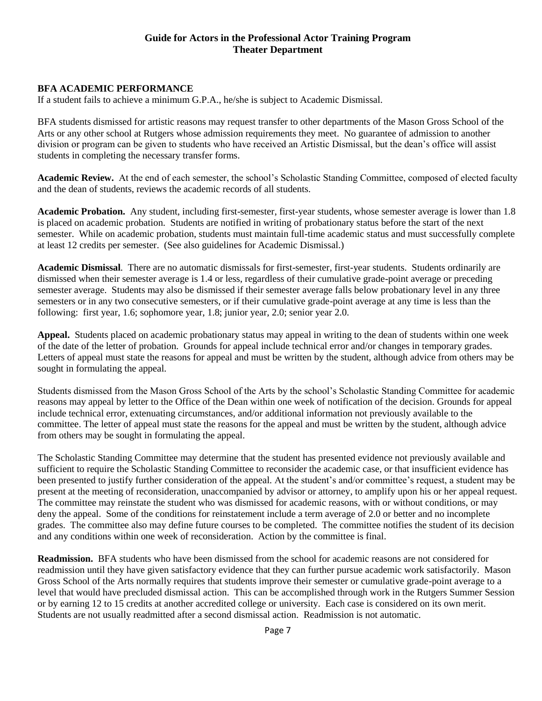### **BFA ACADEMIC PERFORMANCE**

If a student fails to achieve a minimum G.P.A., he/she is subject to Academic Dismissal.

BFA students dismissed for artistic reasons may request transfer to other departments of the Mason Gross School of the Arts or any other school at Rutgers whose admission requirements they meet. No guarantee of admission to another division or program can be given to students who have received an Artistic Dismissal, but the dean's office will assist students in completing the necessary transfer forms.

**Academic Review.** At the end of each semester, the school's Scholastic Standing Committee, composed of elected faculty and the dean of students, reviews the academic records of all students.

**Academic Probation.** Any student, including first-semester, first-year students, whose semester average is lower than 1.8 is placed on academic probation. Students are notified in writing of probationary status before the start of the next semester. While on academic probation, students must maintain full-time academic status and must successfully complete at least 12 credits per semester. (See also guidelines for Academic Dismissal.)

**Academic Dismissal***.* There are no automatic dismissals for first-semester, first-year students. Students ordinarily are dismissed when their semester average is 1.4 or less, regardless of their cumulative grade-point average or preceding semester average. Students may also be dismissed if their semester average falls below probationary level in any three semesters or in any two consecutive semesters, or if their cumulative grade-point average at any time is less than the following: first year, 1.6; sophomore year, 1.8; junior year, 2.0; senior year 2.0.

**Appeal.** Students placed on academic probationary status may appeal in writing to the dean of students within one week of the date of the letter of probation. Grounds for appeal include technical error and/or changes in temporary grades. Letters of appeal must state the reasons for appeal and must be written by the student, although advice from others may be sought in formulating the appeal.

Students dismissed from the Mason Gross School of the Arts by the school's Scholastic Standing Committee for academic reasons may appeal by letter to the Office of the Dean within one week of notification of the decision. Grounds for appeal include technical error, extenuating circumstances, and/or additional information not previously available to the committee. The letter of appeal must state the reasons for the appeal and must be written by the student, although advice from others may be sought in formulating the appeal.

The Scholastic Standing Committee may determine that the student has presented evidence not previously available and sufficient to require the Scholastic Standing Committee to reconsider the academic case, or that insufficient evidence has been presented to justify further consideration of the appeal. At the student's and/or committee's request, a student may be present at the meeting of reconsideration, unaccompanied by advisor or attorney, to amplify upon his or her appeal request. The committee may reinstate the student who was dismissed for academic reasons, with or without conditions, or may deny the appeal. Some of the conditions for reinstatement include a term average of 2.0 or better and no incomplete grades. The committee also may define future courses to be completed. The committee notifies the student of its decision and any conditions within one week of reconsideration. Action by the committee is final.

**Readmission.** BFA students who have been dismissed from the school for academic reasons are not considered for readmission until they have given satisfactory evidence that they can further pursue academic work satisfactorily. Mason Gross School of the Arts normally requires that students improve their semester or cumulative grade-point average to a level that would have precluded dismissal action. This can be accomplished through work in the Rutgers Summer Session or by earning 12 to 15 credits at another accredited college or university. Each case is considered on its own merit. Students are not usually readmitted after a second dismissal action. Readmission is not automatic.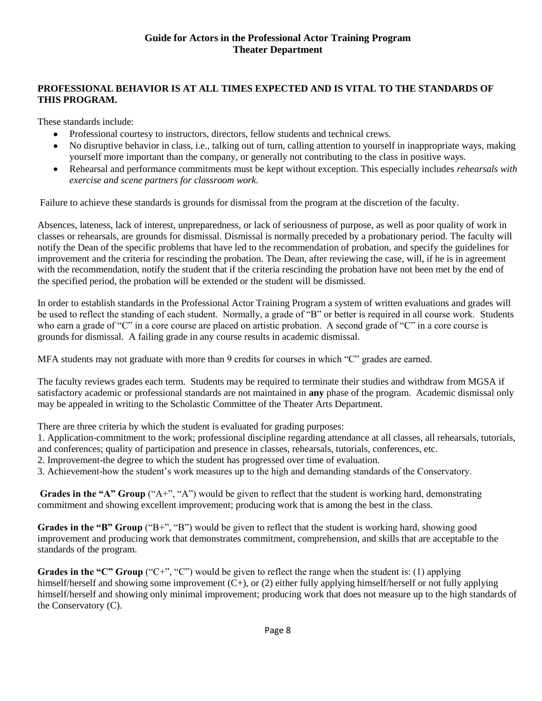## **PROFESSIONAL BEHAVIOR IS AT ALL TIMES EXPECTED AND IS VITAL TO THE STANDARDS OF THIS PROGRAM.**

These standards include:

- Professional courtesy to instructors, directors, fellow students and technical crews.  $\bullet$
- No disruptive behavior in class, i.e., talking out of turn, calling attention to yourself in inappropriate ways, making  $\bullet$ yourself more important than the company, or generally not contributing to the class in positive ways.
- Rehearsal and performance commitments must be kept without exception. This especially includes *rehearsals with*   $\bullet$ *exercise and scene partners for classroom work.*

Failure to achieve these standards is grounds for dismissal from the program at the discretion of the faculty.

Absences, lateness, lack of interest, unpreparedness, or lack of seriousness of purpose, as well as poor quality of work in classes or rehearsals, are grounds for dismissal. Dismissal is normally preceded by a probationary period. The faculty will notify the Dean of the specific problems that have led to the recommendation of probation, and specify the guidelines for improvement and the criteria for rescinding the probation. The Dean, after reviewing the case, will, if he is in agreement with the recommendation, notify the student that if the criteria rescinding the probation have not been met by the end of the specified period, the probation will be extended or the student will be dismissed.

In order to establish standards in the Professional Actor Training Program a system of written evaluations and grades will be used to reflect the standing of each student. Normally, a grade of "B" or better is required in all course work. Students who earn a grade of "C" in a core course are placed on artistic probation. A second grade of "C" in a core course is grounds for dismissal. A failing grade in any course results in academic dismissal.

MFA students may not graduate with more than 9 credits for courses in which "C" grades are earned.

The faculty reviews grades each term. Students may be required to terminate their studies and withdraw from MGSA if satisfactory academic or professional standards are not maintained in **any** phase of the program. Academic dismissal only may be appealed in writing to the Scholastic Committee of the Theater Arts Department.

There are three criteria by which the student is evaluated for grading purposes:

1. Application-commitment to the work; professional discipline regarding attendance at all classes, all rehearsals, tutorials, and conferences; quality of participation and presence in classes, rehearsals, tutorials, conferences, etc.

2. Improvement-the degree to which the student has progressed over time of evaluation.

3. Achievement-how the student's work measures up to the high and demanding standards of the Conservatory.

**Grades in the "A" Group** ("A+", "A") would be given to reflect that the student is working hard, demonstrating commitment and showing excellent improvement; producing work that is among the best in the class.

**Grades in the "B" Group** ("B+", "B") would be given to reflect that the student is working hard, showing good improvement and producing work that demonstrates commitment, comprehension, and skills that are acceptable to the standards of the program.

**Grades in the "C" Group** ("C+", "C") would be given to reflect the range when the student is: (1) applying himself/herself and showing some improvement (C+), or (2) either fully applying himself/herself or not fully applying himself/herself and showing only minimal improvement; producing work that does not measure up to the high standards of the Conservatory (C).